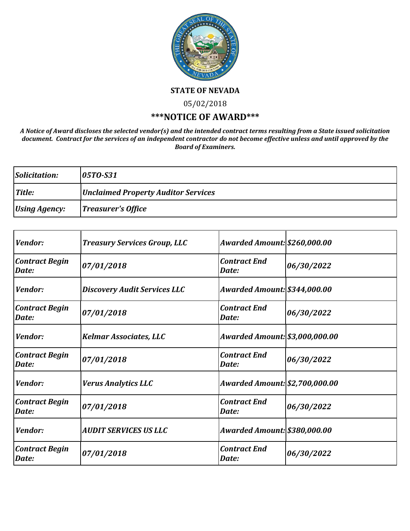

**STATE OF NEVADA**

05/02/2018

## **\*\*\*NOTICE OF AWARD\*\*\***

*A Notice of Award discloses the selected vendor(s) and the intended contract terms resulting from a State issued solicitation document. Contract for the services of an independent contractor do not become effective unless and until approved by the Board of Examiners.*

| Solicitation:        | $ 05T0- S31 $                              |
|----------------------|--------------------------------------------|
| Title:               | <b>Unclaimed Property Auditor Services</b> |
| <b>Using Agency:</b> | Treasurer's Office                         |

| <i>Vendor:</i>                 | <b>Treasury Services Group, LLC</b> | <b>Awarded Amount: \$260,000.00</b> |            |
|--------------------------------|-------------------------------------|-------------------------------------|------------|
| <b>Contract Begin</b><br>Date: | 07/01/2018                          | <b>Contract End</b><br>Date:        | 06/30/2022 |
| Vendor:                        | <b>Discovery Audit Services LLC</b> | Awarded Amount: \$344,000.00        |            |
| <b>Contract Begin</b><br>Date: | 07/01/2018                          | <b>Contract End</b><br>Date:        | 06/30/2022 |
| Vendor:                        | <b>Kelmar Associates, LLC</b>       | Awarded Amount: \$3,000,000.00      |            |
| <b>Contract Begin</b><br>Date: | 07/01/2018                          | <b>Contract End</b><br>Date:        | 06/30/2022 |
| Vendor:                        | <b>Verus Analytics LLC</b>          | Awarded Amount: \$2,700,000.00      |            |
| <b>Contract Begin</b><br>Date: | 07/01/2018                          | <b>Contract End</b><br>Date:        | 06/30/2022 |
| Vendor:                        | <b>AUDIT SERVICES US LLC</b>        | Awarded Amount: \$380,000.00        |            |
| <b>Contract Begin</b><br>Date: | 07/01/2018                          | <b>Contract End</b><br>Date:        | 06/30/2022 |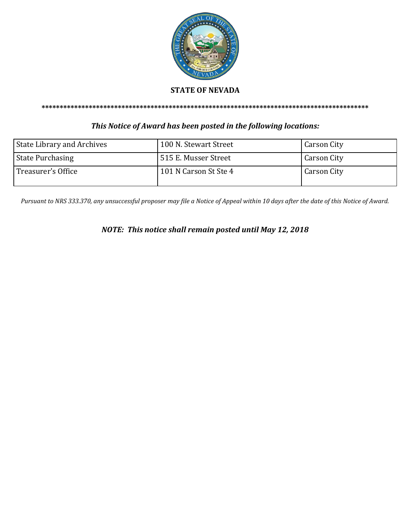

## **STATE OF NEVADA**

**\*\*\*\*\*\*\*\*\*\*\*\*\*\*\*\*\*\*\*\*\*\*\*\*\*\*\*\*\*\*\*\*\*\*\*\*\*\*\*\*\*\*\*\*\*\*\*\*\*\*\*\*\*\*\*\*\*\*\*\*\*\*\*\*\*\*\*\*\*\*\*\*\*\*\*\*\*\*\*\*\*\*\*\*\*\*\*\*\*\***

## *This Notice of Award has been posted in the following locations:*

| <b>State Library and Archives</b> | 100 N. Stewart Street | <b>Carson City</b> |
|-----------------------------------|-----------------------|--------------------|
| <b>State Purchasing</b>           | 515 E. Musser Street  | <b>Carson City</b> |
| Treasurer's Office                | 101 N Carson St Ste 4 | Carson City        |

*Pursuant to NRS 333.370, any unsuccessful proposer may file a Notice of Appeal within 10 days after the date of this Notice of Award.*

*NOTE: This notice shall remain posted until May 12, 2018*